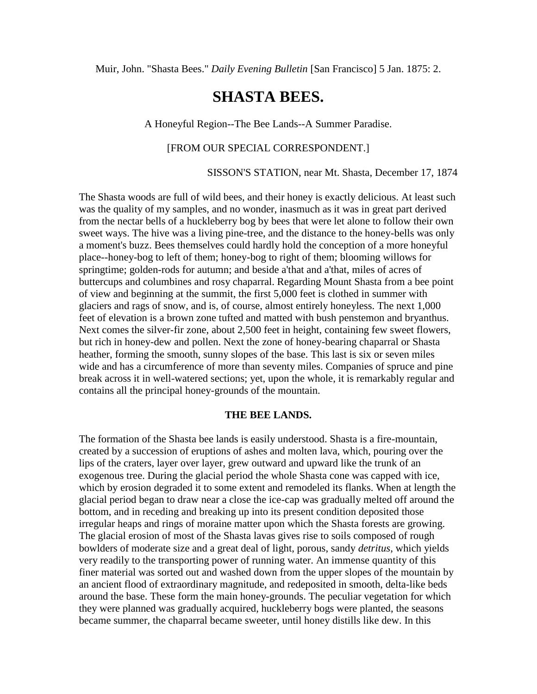Muir, John. "Shasta Bees." *Daily Evening Bulletin* [San Francisco] 5 Jan. 1875: 2.

# **SHASTA BEES.**

### A Honeyful Region--The Bee Lands--A Summer Paradise.

## [FROM OUR SPECIAL CORRESPONDENT.]

SISSON'S STATION, near Mt. Shasta, December 17, 1874

The Shasta woods are full of wild bees, and their honey is exactly delicious. At least such was the quality of my samples, and no wonder, inasmuch as it was in great part derived from the nectar bells of a huckleberry bog by bees that were let alone to follow their own sweet ways. The hive was a living pine-tree, and the distance to the honey-bells was only a moment's buzz. Bees themselves could hardly hold the conception of a more honeyful place--honey-bog to left of them; honey-bog to right of them; blooming willows for springtime; golden-rods for autumn; and beside a'that and a'that, miles of acres of buttercups and columbines and rosy chaparral. Regarding Mount Shasta from a bee point of view and beginning at the summit, the first 5,000 feet is clothed in summer with glaciers and rags of snow, and is, of course, almost entirely honeyless. The next 1,000 feet of elevation is a brown zone tufted and matted with bush penstemon and bryanthus. Next comes the silver-fir zone, about 2,500 feet in height, containing few sweet flowers, but rich in honey-dew and pollen. Next the zone of honey-bearing chaparral or Shasta heather, forming the smooth, sunny slopes of the base. This last is six or seven miles wide and has a circumference of more than seventy miles. Companies of spruce and pine break across it in well-watered sections; yet, upon the whole, it is remarkably regular and contains all the principal honey-grounds of the mountain.

#### **THE BEE LANDS.**

The formation of the Shasta bee lands is easily understood. Shasta is a fire-mountain, created by a succession of eruptions of ashes and molten lava, which, pouring over the lips of the craters, layer over layer, grew outward and upward like the trunk of an exogenous tree. During the glacial period the whole Shasta cone was capped with ice, which by erosion degraded it to some extent and remodeled its flanks. When at length the glacial period began to draw near a close the ice-cap was gradually melted off around the bottom, and in receding and breaking up into its present condition deposited those irregular heaps and rings of moraine matter upon which the Shasta forests are growing. The glacial erosion of most of the Shasta lavas gives rise to soils composed of rough bowlders of moderate size and a great deal of light, porous, sandy *detritus*, which yields very readily to the transporting power of running water. An immense quantity of this finer material was sorted out and washed down from the upper slopes of the mountain by an ancient flood of extraordinary magnitude, and redeposited in smooth, delta-like beds around the base. These form the main honey-grounds. The peculiar vegetation for which they were planned was gradually acquired, huckleberry bogs were planted, the seasons became summer, the chaparral became sweeter, until honey distills like dew. In this